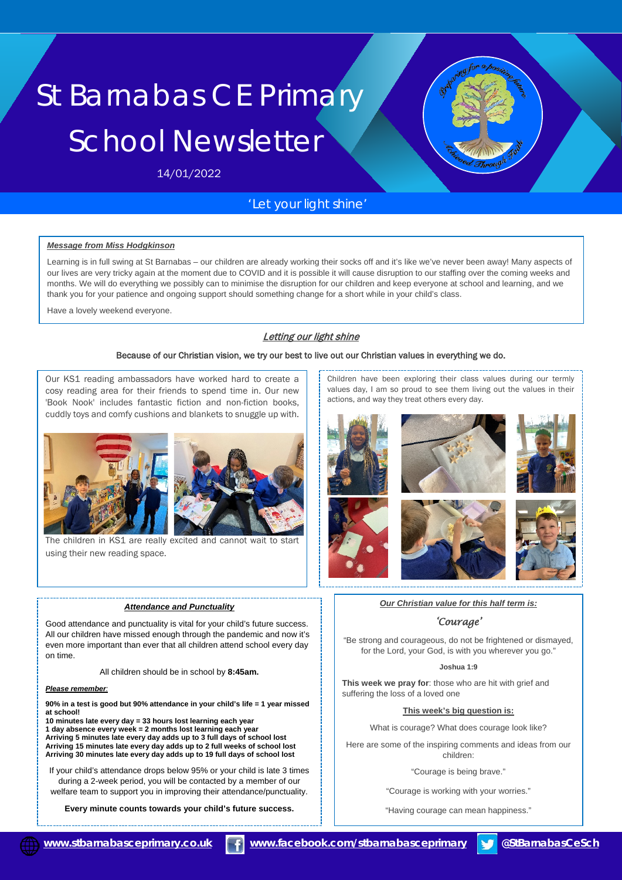# St Barnabas CE Primary School Newsletter

14/01/2022

# *'Let your light shine'*

#### *Message from Miss Hodgkinson*

Learning is in full swing at St Barnabas – our children are already working their socks off and it's like we've never been away! Many aspects of our lives are very tricky again at the moment due to COVID and it is possible it will cause disruption to our staffing over the coming weeks and months. We will do everything we possibly can to minimise the disruption for our children and keep everyone at school and learning, and we thank you for your patience and ongoing support should something change for a short while in your child's class.

Have a lovely weekend everyone.

## Letting our light shine

#### Because of our Christian vision, we try our best to live out our Christian values in everything we do.

Our KS1 reading ambassadors have worked hard to create a cosy reading area for their friends to spend time in. Our new 'Book Nook' includes fantastic fiction and non-fiction books, cuddly toys and comfy cushions and blankets to snuggle up with.



The children in KS1 are really excited and cannot wait to start using their new reading space.

#### *Attendance and Punctuality*

Good attendance and punctuality is vital for your child's future success. All our children have missed enough through the pandemic and now it's even more important than ever that all children attend school every day on time.

All children should be in school by **8:45am.**

#### *Please remember:*

**90% in a test is good but 90% attendance in your child's life = 1 year missed at school!** 

**10 minutes late every day = 33 hours lost learning each year 1 day absence every week = 2 months lost learning each year Arriving 5 minutes late every day adds up to 3 full days of school lost Arriving 15 minutes late every day adds up to 2 full weeks of school lost Arriving 30 minutes late every day adds up to 19 full days of school lost**

If your child's attendance drops below 95% or your child is late 3 times during a 2-week period, you will be contacted by a member of our welfare team to support you in improving their attendance/punctuality.

**Every minute counts towards your child's future success.**

Children have been exploring their class values during our termly values day, I am so proud to see them living out the values in their actions, and way they treat others every day.



*Our Christian value for this half term is:* 

#### *'Courage'*

"Be strong and courageous, do not be frightened or dismayed, for the Lord, your God, is with you wherever you go."

#### **Joshua 1:9**

**This week we pray for**: those who are hit with grief and suffering the loss of a loved one

#### **This week's big question is:**

What is courage? What does courage look like?

Here are some of the inspiring comments and ideas from our children:

"Courage is being brave."

"Courage is working with your worries."

"Having courage can mean happiness."